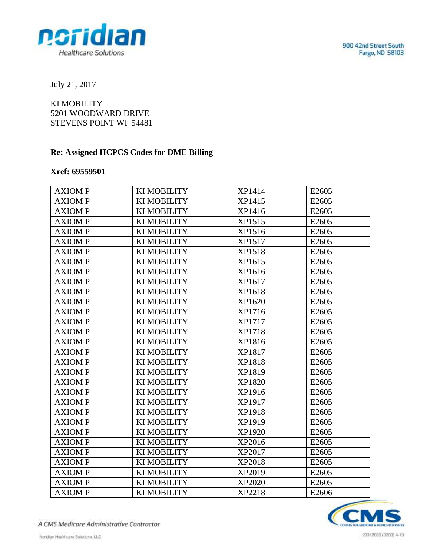

July 21, 2017

KI MOBILITY 5201 WOODWARD DRIVE STEVENS POINT WI 54481

## **Re: Assigned HCPCS Codes for DME Billing**

## **Xref: 69559501**

| <b>AXIOMP</b>  | <b>KI MOBILITY</b> | XP1414        | E2605 |
|----------------|--------------------|---------------|-------|
| <b>AXIOMP</b>  | KI MOBILITY        | XP1415        | E2605 |
| <b>AXIOMP</b>  | KI MOBILITY        | XP1416        | E2605 |
| <b>AXIOMP</b>  | KI MOBILITY        | XP1515        | E2605 |
| <b>AXIOMP</b>  | <b>KI MOBILITY</b> | XP1516        | E2605 |
| <b>AXIOMP</b>  | <b>KI MOBILITY</b> | XP1517        | E2605 |
| <b>AXIOMP</b>  | <b>KI MOBILITY</b> | <b>XP1518</b> | E2605 |
| <b>AXIOMP</b>  | <b>KI MOBILITY</b> | XP1615        | E2605 |
| <b>AXIOMP</b>  | <b>KI MOBILITY</b> | XP1616        | E2605 |
| <b>AXIOMP</b>  | <b>KI MOBILITY</b> | XP1617        | E2605 |
| <b>AXIOMP</b>  | <b>KI MOBILITY</b> | XP1618        | E2605 |
| <b>AXIOM P</b> | <b>KI MOBILITY</b> | XP1620        | E2605 |
| <b>AXIOMP</b>  | <b>KI MOBILITY</b> | XP1716        | E2605 |
| <b>AXIOMP</b>  | <b>KI MOBILITY</b> | XP1717        | E2605 |
| <b>AXIOMP</b>  | <b>KI MOBILITY</b> | <b>XP1718</b> | E2605 |
| <b>AXIOMP</b>  | <b>KI MOBILITY</b> | XP1816        | E2605 |
| <b>AXIOMP</b>  | <b>KI MOBILITY</b> | XP1817        | E2605 |
| <b>AXIOMP</b>  | KI MOBILITY        | XP1818        | E2605 |
| <b>AXIOMP</b>  | <b>KI MOBILITY</b> | XP1819        | E2605 |
| <b>AXIOMP</b>  | <b>KI MOBILITY</b> | XP1820        | E2605 |
| <b>AXIOMP</b>  | <b>KI MOBILITY</b> | XP1916        | E2605 |
| <b>AXIOMP</b>  | <b>KI MOBILITY</b> | XP1917        | E2605 |
| <b>AXIOMP</b>  | KI MOBILITY        | XP1918        | E2605 |
| <b>AXIOMP</b>  | <b>KI MOBILITY</b> | XP1919        | E2605 |
| <b>AXIOMP</b>  | <b>KI MOBILITY</b> | XP1920        | E2605 |
| <b>AXIOMP</b>  | <b>KI MOBILITY</b> | XP2016        | E2605 |
| <b>AXIOMP</b>  | <b>KI MOBILITY</b> | XP2017        | E2605 |
| <b>AXIOMP</b>  | <b>KI MOBILITY</b> | XP2018        | E2605 |
| <b>AXIOMP</b>  | KI MOBILITY        | XP2019        | E2605 |
| <b>AXIOMP</b>  | <b>KI MOBILITY</b> | <b>XP2020</b> | E2605 |
| <b>AXIOMP</b>  | <b>KI MOBILITY</b> | XP2218        | E2606 |



A CMS Medicare Administrative Contractor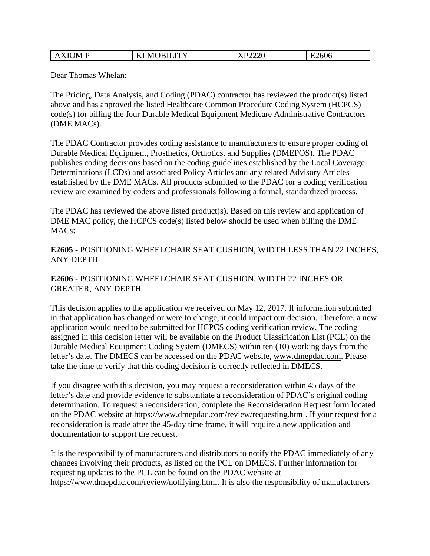| <b>AXIOMP</b> | KI MORILITY<br>AI MUDILI I | <b>VD2220</b><br>2220<br>$\overline{A}$ | E2606 |
|---------------|----------------------------|-----------------------------------------|-------|
|---------------|----------------------------|-----------------------------------------|-------|

Dear Thomas Whelan:

The Pricing, Data Analysis, and Coding (PDAC) contractor has reviewed the product(s) listed above and has approved the listed Healthcare Common Procedure Coding System (HCPCS) code(s) for billing the four Durable Medical Equipment Medicare Administrative Contractors (DME MACs).

The PDAC Contractor provides coding assistance to manufacturers to ensure proper coding of Durable Medical Equipment, Prosthetics, Orthotics, and Supplies **(**DMEPOS). The PDAC publishes coding decisions based on the coding guidelines established by the Local Coverage Determinations (LCDs) and associated Policy Articles and any related Advisory Articles established by the DME MACs. All products submitted to the PDAC for a coding verification review are examined by coders and professionals following a formal, standardized process.

The PDAC has reviewed the above listed product(s). Based on this review and application of DME MAC policy, the HCPCS code(s) listed below should be used when billing the DME MAC<sub>s</sub>:

## **E2605** - POSITIONING WHEELCHAIR SEAT CUSHION, WIDTH LESS THAN 22 INCHES, ANY DEPTH

## **E2606** - POSITIONING WHEELCHAIR SEAT CUSHION, WIDTH 22 INCHES OR GREATER, ANY DEPTH

This decision applies to the application we received on May 12, 2017. If information submitted in that application has changed or were to change, it could impact our decision. Therefore, a new application would need to be submitted for HCPCS coding verification review. The coding assigned in this decision letter will be available on the Product Classification List (PCL) on the Durable Medical Equipment Coding System (DMECS) within ten (10) working days from the letter's date. The DMECS can be accessed on the PDAC website, www.dmepdac.com. Please take the time to verify that this coding decision is correctly reflected in DMECS.

If you disagree with this decision, you may request a reconsideration within 45 days of the letter's date and provide evidence to substantiate a reconsideration of PDAC's original coding determination. To request a reconsideration, complete the Reconsideration Request form located on the PDAC website at https://www.dmepdac.com/review/requesting.html. If your request for a reconsideration is made after the 45-day time frame, it will require a new application and documentation to support the request.

It is the responsibility of manufacturers and distributors to notify the PDAC immediately of any changes involving their products, as listed on the PCL on DMECS. Further information for requesting updates to the PCL can be found on the PDAC website at https://www.dmepdac.com/review/notifying.html. It is also the responsibility of manufacturers